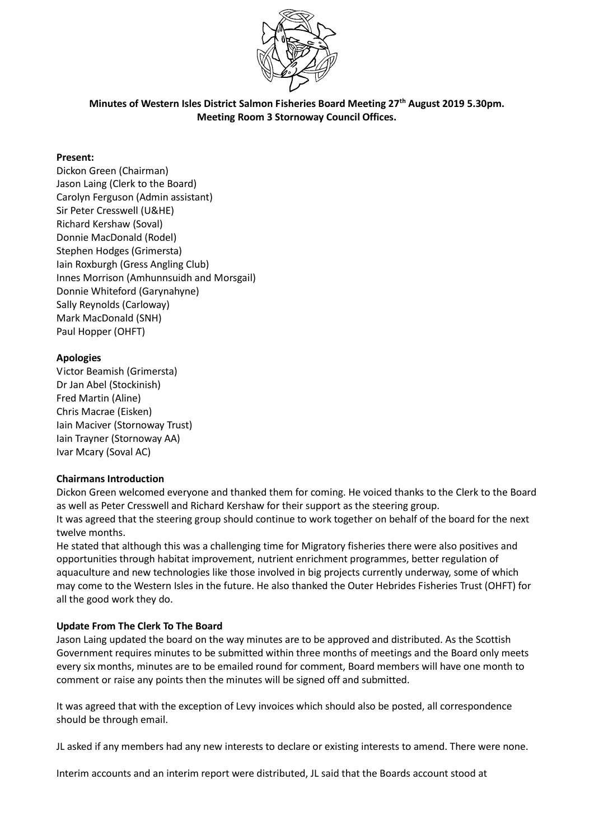

**Minutes of Western Isles District Salmon Fisheries Board Meeting 27th August 2019 5.30pm. Meeting Room 3 Stornoway Council Offices.**

# **Present:**

Dickon Green (Chairman) Jason Laing (Clerk to the Board) Carolyn Ferguson (Admin assistant) Sir Peter Cresswell (U&HE) Richard Kershaw (Soval) Donnie MacDonald (Rodel) Stephen Hodges (Grimersta) Iain Roxburgh (Gress Angling Club) Innes Morrison (Amhunnsuidh and Morsgail) Donnie Whiteford (Garynahyne) Sally Reynolds (Carloway) Mark MacDonald (SNH) Paul Hopper (OHFT)

# **Apologies**

Victor Beamish (Grimersta) Dr Jan Abel (Stockinish) Fred Martin (Aline) Chris Macrae (Eisken) Iain Maciver (Stornoway Trust) Iain Trayner (Stornoway AA) Ivar Mcary (Soval AC)

### **Chairmans Introduction**

Dickon Green welcomed everyone and thanked them for coming. He voiced thanks to the Clerk to the Board as well as Peter Cresswell and Richard Kershaw for their support as the steering group. It was agreed that the steering group should continue to work together on behalf of the board for the next twelve months.

He stated that although this was a challenging time for Migratory fisheries there were also positives and opportunities through habitat improvement, nutrient enrichment programmes, better regulation of aquaculture and new technologies like those involved in big projects currently underway, some of which may come to the Western Isles in the future. He also thanked the Outer Hebrides Fisheries Trust (OHFT) for all the good work they do.

### **Update From The Clerk To The Board**

Jason Laing updated the board on the way minutes are to be approved and distributed. As the Scottish Government requires minutes to be submitted within three months of meetings and the Board only meets every six months, minutes are to be emailed round for comment, Board members will have one month to comment or raise any points then the minutes will be signed off and submitted.

It was agreed that with the exception of Levy invoices which should also be posted, all correspondence should be through email.

JL asked if any members had any new interests to declare or existing interests to amend. There were none.

Interim accounts and an interim report were distributed, JL said that the Boards account stood at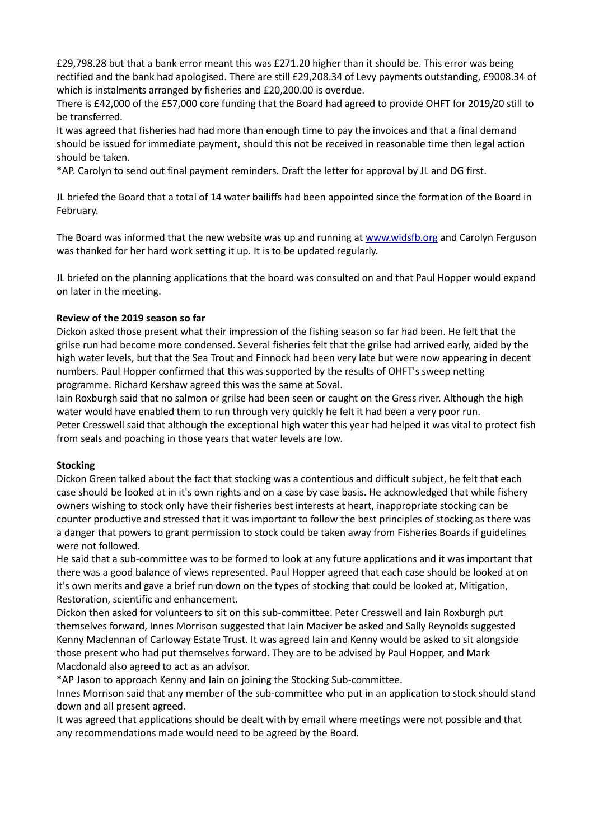£29,798.28 but that a bank error meant this was £271.20 higher than it should be. This error was being rectified and the bank had apologised. There are still £29,208.34 of Levy payments outstanding, £9008.34 of which is instalments arranged by fisheries and £20,200.00 is overdue.

There is £42,000 of the £57,000 core funding that the Board had agreed to provide OHFT for 2019/20 still to be transferred.

It was agreed that fisheries had had more than enough time to pay the invoices and that a final demand should be issued for immediate payment, should this not be received in reasonable time then legal action should be taken.

\*AP. Carolyn to send out final payment reminders. Draft the letter for approval by JL and DG first.

JL briefed the Board that a total of 14 water bailiffs had been appointed since the formation of the Board in February.

The Board was informed that the new website was up and running at [www.widsfb.org](http://www.widsfb.org/) and Carolyn Ferguson was thanked for her hard work setting it up. It is to be updated regularly.

JL briefed on the planning applications that the board was consulted on and that Paul Hopper would expand on later in the meeting.

### **Review of the 2019 season so far**

Dickon asked those present what their impression of the fishing season so far had been. He felt that the grilse run had become more condensed. Several fisheries felt that the grilse had arrived early, aided by the high water levels, but that the Sea Trout and Finnock had been very late but were now appearing in decent numbers. Paul Hopper confirmed that this was supported by the results of OHFT's sweep netting programme. Richard Kershaw agreed this was the same at Soval.

Iain Roxburgh said that no salmon or grilse had been seen or caught on the Gress river. Although the high water would have enabled them to run through very quickly he felt it had been a very poor run. Peter Cresswell said that although the exceptional high water this year had helped it was vital to protect fish from seals and poaching in those years that water levels are low.

### **Stocking**

Dickon Green talked about the fact that stocking was a contentious and difficult subject, he felt that each case should be looked at in it's own rights and on a case by case basis. He acknowledged that while fishery owners wishing to stock only have their fisheries best interests at heart, inappropriate stocking can be counter productive and stressed that it was important to follow the best principles of stocking as there was a danger that powers to grant permission to stock could be taken away from Fisheries Boards if guidelines were not followed.

He said that a sub-committee was to be formed to look at any future applications and it was important that there was a good balance of views represented. Paul Hopper agreed that each case should be looked at on it's own merits and gave a brief run down on the types of stocking that could be looked at, Mitigation, Restoration, scientific and enhancement.

Dickon then asked for volunteers to sit on this sub-committee. Peter Cresswell and Iain Roxburgh put themselves forward, Innes Morrison suggested that Iain Maciver be asked and Sally Reynolds suggested Kenny Maclennan of Carloway Estate Trust. It was agreed Iain and Kenny would be asked to sit alongside those present who had put themselves forward. They are to be advised by Paul Hopper, and Mark Macdonald also agreed to act as an advisor.

\*AP Jason to approach Kenny and Iain on joining the Stocking Sub-committee.

Innes Morrison said that any member of the sub-committee who put in an application to stock should stand down and all present agreed.

It was agreed that applications should be dealt with by email where meetings were not possible and that any recommendations made would need to be agreed by the Board.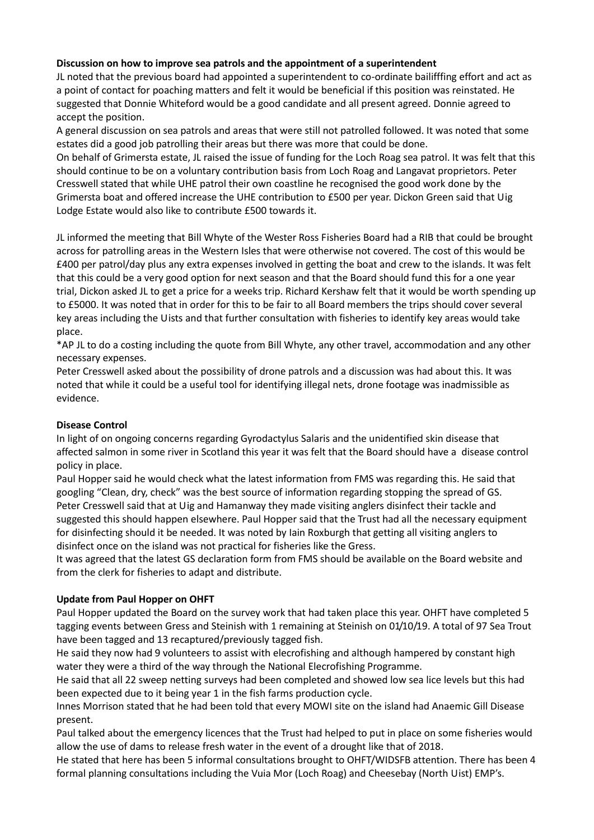# **Discussion on how to improve sea patrols and the appointment of a superintendent**

JL noted that the previous board had appointed a superintendent to co-ordinate bailifffing effort and act as a point of contact for poaching matters and felt it would be beneficial if this position was reinstated. He suggested that Donnie Whiteford would be a good candidate and all present agreed. Donnie agreed to accept the position.

A general discussion on sea patrols and areas that were still not patrolled followed. It was noted that some estates did a good job patrolling their areas but there was more that could be done.

On behalf of Grimersta estate, JL raised the issue of funding for the Loch Roag sea patrol. It was felt that this should continue to be on a voluntary contribution basis from Loch Roag and Langavat proprietors. Peter Cresswell stated that while UHE patrol their own coastline he recognised the good work done by the Grimersta boat and offered increase the UHE contribution to £500 per year. Dickon Green said that Uig Lodge Estate would also like to contribute £500 towards it.

JL informed the meeting that Bill Whyte of the Wester Ross Fisheries Board had a RIB that could be brought across for patrolling areas in the Western Isles that were otherwise not covered. The cost of this would be £400 per patrol/day plus any extra expenses involved in getting the boat and crew to the islands. It was felt that this could be a very good option for next season and that the Board should fund this for a one year trial, Dickon asked JL to get a price for a weeks trip. Richard Kershaw felt that it would be worth spending up to £5000. It was noted that in order for this to be fair to all Board members the trips should cover several key areas including the Uists and that further consultation with fisheries to identify key areas would take place.

\*AP JL to do a costing including the quote from Bill Whyte, any other travel, accommodation and any other necessary expenses.

Peter Cresswell asked about the possibility of drone patrols and a discussion was had about this. It was noted that while it could be a useful tool for identifying illegal nets, drone footage was inadmissible as evidence.

### **Disease Control**

In light of on ongoing concerns regarding Gyrodactylus Salaris and the unidentified skin disease that affected salmon in some river in Scotland this year it was felt that the Board should have a disease control policy in place.

Paul Hopper said he would check what the latest information from FMS was regarding this. He said that googling "Clean, dry, check" was the best source of information regarding stopping the spread of GS. Peter Cresswell said that at Uig and Hamanway they made visiting anglers disinfect their tackle and suggested this should happen elsewhere. Paul Hopper said that the Trust had all the necessary equipment for disinfecting should it be needed. It was noted by Iain Roxburgh that getting all visiting anglers to disinfect once on the island was not practical for fisheries like the Gress.

It was agreed that the latest GS declaration form from FMS should be available on the Board website and from the clerk for fisheries to adapt and distribute.

### **Update from Paul Hopper on OHFT**

Paul Hopper updated the Board on the survey work that had taken place this year. OHFT have completed 5 tagging events between Gress and Steinish with 1 remaining at Steinish on 01/10/19. A total of 97 Sea Trout have been tagged and 13 recaptured/previously tagged fish.

He said they now had 9 volunteers to assist with elecrofishing and although hampered by constant high water they were a third of the way through the National Elecrofishing Programme.

He said that all 22 sweep netting surveys had been completed and showed low sea lice levels but this had been expected due to it being year 1 in the fish farms production cycle.

Innes Morrison stated that he had been told that every MOWI site on the island had Anaemic Gill Disease present.

Paul talked about the emergency licences that the Trust had helped to put in place on some fisheries would allow the use of dams to release fresh water in the event of a drought like that of 2018.

He stated that here has been 5 informal consultations brought to OHFT/WIDSFB attention. There has been 4 formal planning consultations including the Vuia Mor (Loch Roag) and Cheesebay (North Uist) EMP's.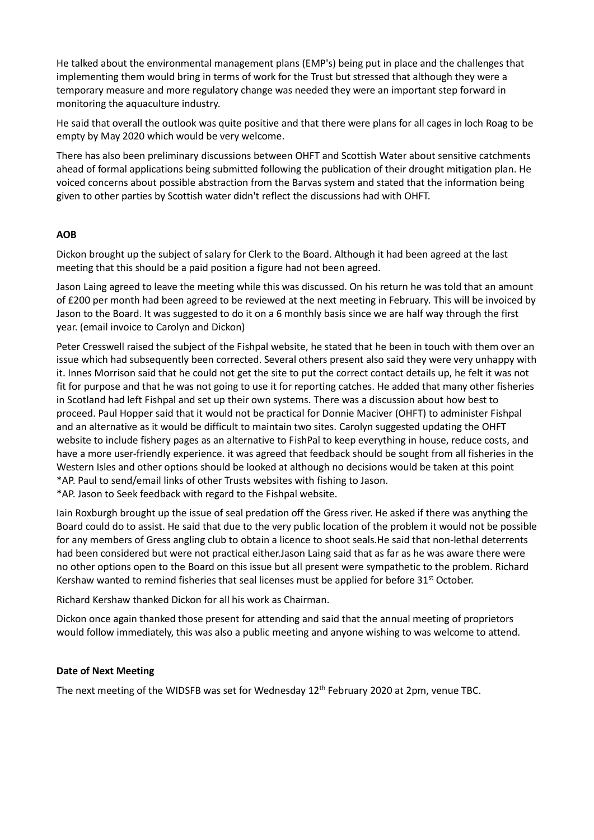He talked about the environmental management plans (EMP's) being put in place and the challenges that implementing them would bring in terms of work for the Trust but stressed that although they were a temporary measure and more regulatory change was needed they were an important step forward in monitoring the aquaculture industry.

He said that overall the outlook was quite positive and that there were plans for all cages in loch Roag to be empty by May 2020 which would be very welcome.

There has also been preliminary discussions between OHFT and Scottish Water about sensitive catchments ahead of formal applications being submitted following the publication of their drought mitigation plan. He voiced concerns about possible abstraction from the Barvas system and stated that the information being given to other parties by Scottish water didn't reflect the discussions had with OHFT.

# **AOB**

Dickon brought up the subject of salary for Clerk to the Board. Although it had been agreed at the last meeting that this should be a paid position a figure had not been agreed.

Jason Laing agreed to leave the meeting while this was discussed. On his return he was told that an amount of £200 per month had been agreed to be reviewed at the next meeting in February. This will be invoiced by Jason to the Board. It was suggested to do it on a 6 monthly basis since we are half way through the first year. (email invoice to Carolyn and Dickon)

Peter Cresswell raised the subject of the Fishpal website, he stated that he been in touch with them over an issue which had subsequently been corrected. Several others present also said they were very unhappy with it. Innes Morrison said that he could not get the site to put the correct contact details up, he felt it was not fit for purpose and that he was not going to use it for reporting catches. He added that many other fisheries in Scotland had left Fishpal and set up their own systems. There was a discussion about how best to proceed. Paul Hopper said that it would not be practical for Donnie Maciver (OHFT) to administer Fishpal and an alternative as it would be difficult to maintain two sites. Carolyn suggested updating the OHFT website to include fishery pages as an alternative to FishPal to keep everything in house, reduce costs, and have a more user-friendly experience. it was agreed that feedback should be sought from all fisheries in the Western Isles and other options should be looked at although no decisions would be taken at this point \*AP. Paul to send/email links of other Trusts websites with fishing to Jason.

\*AP. Jason to Seek feedback with regard to the Fishpal website.

Iain Roxburgh brought up the issue of seal predation off the Gress river. He asked if there was anything the Board could do to assist. He said that due to the very public location of the problem it would not be possible for any members of Gress angling club to obtain a licence to shoot seals.He said that non-lethal deterrents had been considered but were not practical either.Jason Laing said that as far as he was aware there were no other options open to the Board on this issue but all present were sympathetic to the problem. Richard Kershaw wanted to remind fisheries that seal licenses must be applied for before  $31<sup>st</sup>$  October.

Richard Kershaw thanked Dickon for all his work as Chairman.

Dickon once again thanked those present for attending and said that the annual meeting of proprietors would follow immediately, this was also a public meeting and anyone wishing to was welcome to attend.

### **Date of Next Meeting**

The next meeting of the WIDSFB was set for Wednesday 12<sup>th</sup> February 2020 at 2pm, venue TBC.